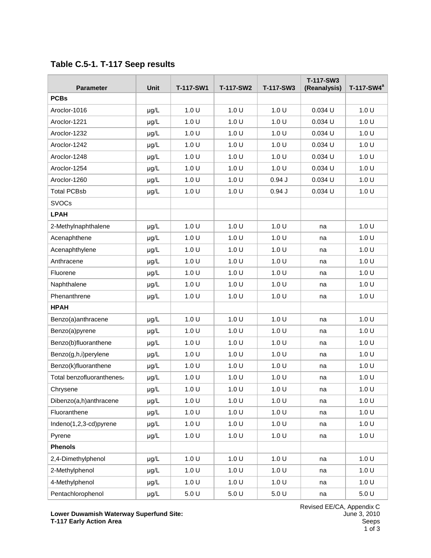|  |  |  |  | Table C.5-1. T-117 Seep results |
|--|--|--|--|---------------------------------|
|--|--|--|--|---------------------------------|

| <b>Parameter</b>          | Unit      | <b>T-117-SW1</b> | <b>T-117-SW2</b> | T-117-SW3 | T-117-SW3<br>(Reanalysis) | T-117-SW4 <sup>a</sup> |
|---------------------------|-----------|------------------|------------------|-----------|---------------------------|------------------------|
| <b>PCBs</b>               |           |                  |                  |           |                           |                        |
| Aroclor-1016              | $\mu$ g/L | 1.0 U            | 1.0 U            | 1.0 U     | 0.034 U                   | 1.0 U                  |
| Aroclor-1221              | $\mu$ g/L | 1.0 U            | 1.0 U            | 1.0 U     | $0.034$ U                 | 1.0 U                  |
| Aroclor-1232              | $\mu$ g/L | 1.0 U            | 1.0 U            | 1.0 U     | $0.034$ U                 | 1.0 U                  |
| Aroclor-1242              | µg/L      | 1.0 U            | 1.0 U            | 1.0 U     | 0.034 U                   | 1.0 U                  |
| Aroclor-1248              | µg/L      | 1.0 U            | 1.0 U            | 1.0 U     | $0.034$ U                 | 1.0 U                  |
| Aroclor-1254              | $\mu$ g/L | 1.0 U            | 1.0 U            | 1.0 U     | 0.034 U                   | 1.0 U                  |
| Aroclor-1260              | µg/L      | 1.0 U            | 1.0 U            | 0.94J     | $0.034$ U                 | 1.0 U                  |
| <b>Total PCBsb</b>        | µg/L      | 1.0 U            | 1.0 U            | 0.94J     | 0.034 U                   | 1.0 U                  |
| <b>SVOCs</b>              |           |                  |                  |           |                           |                        |
| <b>LPAH</b>               |           |                  |                  |           |                           |                        |
| 2-Methylnaphthalene       | $\mu$ g/L | 1.0 U            | 1.0 U            | 1.0 U     | na                        | 1.0 U                  |
| Acenaphthene              | $\mu$ g/L | 1.0 U            | 1.0 U            | 1.0 U     | na                        | 1.0 U                  |
| Acenaphthylene            | µg/L      | 1.0 U            | 1.0 U            | 1.0 U     | na                        | 1.0 U                  |
| Anthracene                | $\mu$ g/L | 1.0 U            | 1.0 U            | 1.0 U     | na                        | 1.0 U                  |
| Fluorene                  | µg/L      | 1.0 U            | 1.0 U            | 1.0 U     | na                        | 1.0 U                  |
| Naphthalene               | µg/L      | 1.0 U            | 1.0 U            | 1.0 U     | na                        | 1.0 U                  |
| Phenanthrene              | $\mu$ g/L | 1.0 U            | 1.0 U            | 1.0 U     | na                        | 1.0 U                  |
| <b>HPAH</b>               |           |                  |                  |           |                           |                        |
| Benzo(a)anthracene        | $\mu$ g/L | 1.0 U            | 1.0 U            | 1.0 U     | na                        | 1.0 U                  |
| Benzo(a)pyrene            | $\mu$ g/L | 1.0 U            | 1.0 U            | 1.0 U     | na                        | 1.0 U                  |
| Benzo(b)fluoranthene      | µg/L      | 1.0 U            | 1.0 U            | 1.0 U     | na                        | 1.0 U                  |
| Benzo(g,h,i)perylene      | $\mu$ g/L | 1.0 U            | 1.0 U            | 1.0 U     | na                        | 1.0 U                  |
| Benzo(k)fluoranthene      | µg/L      | 1.0 U            | 1.0 U            | 1.0 U     | na                        | 1.0 U                  |
| Total benzofluoranthenesc | µg/L      | 1.0 U            | 1.0 U            | 1.0 U     | na                        | 1.0 U                  |
| Chrysene                  | µg/L      | 1.0 U            | 1.0 U            | 1.0 U     | na                        | 1.0 U                  |
| Dibenzo(a,h)anthracene    | $\mu$ g/L | 1.0 U            | 1.0 U            | 1.0 U     | na                        | 1.0 U                  |
| Fluoranthene              | µg/L      | 1.0 U            | 1.0 U            | 1.0 U     | na                        | 1.0 U                  |
| Indeno(1,2,3-cd)pyrene    | µg/L      | 1.0 U            | 1.0 U            | 1.0 U     | na                        | 1.0 U                  |
| Pyrene                    | µg/L      | 1.0 U            | 1.0 U            | 1.0 U     | na                        | 1.0 U                  |
| <b>Phenols</b>            |           |                  |                  |           |                           |                        |
| 2,4-Dimethylphenol        | $\mu$ g/L | 1.0 U            | 1.0 U            | 1.0 U     | na                        | 1.0 U                  |
| 2-Methylphenol            | µg/L      | 1.0 U            | 1.0 U            | 1.0 U     | na                        | 1.0 U                  |
| 4-Methylphenol            | µg/L      | 1.0 U            | 1.0 U            | 1.0 U     | na                        | 1.0 U                  |
| Pentachlorophenol         | µg/L      | 5.0 U            | 5.0 U            | 5.0 U     | na                        | 5.0 U                  |

**Lower Duwamish Waterway Superfund Site: T-117 Early Action Area**

Revised EE/CA, Appendix C June 3, 2010 Seeps 1 of 3